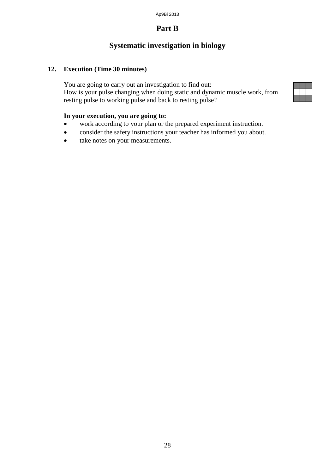# **Systematic investigation in biology**

#### **12. Execution (Time 30 minutes)**

You are going to carry out an investigation to find out: How is your pulse changing when doing static and dynamic muscle work, from resting pulse to working pulse and back to resting pulse?

#### **In your execution, you are going to:**

- work according to your plan or the prepared experiment instruction.
- consider the safety instructions your teacher has informed you about.
- take notes on your measurements.

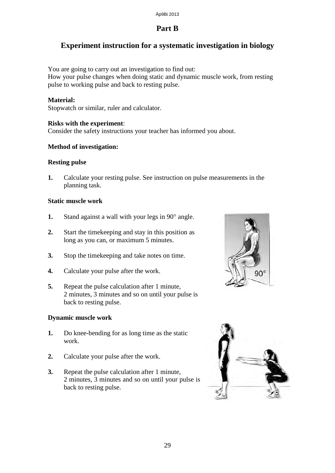# **Experiment instruction for a systematic investigation in biology**

You are going to carry out an investigation to find out: How your pulse changes when doing static and dynamic muscle work, from resting pulse to working pulse and back to resting pulse.

#### **Material:**

Stopwatch or similar, ruler and calculator.

#### **Risks with the experiment**:

Consider the safety instructions your teacher has informed you about.

#### **Method of investigation:**

#### **Resting pulse**

**1.** Calculate your resting pulse. See instruction on pulse measurements in the planning task.

#### **Static muscle work**

- **1.** Stand against a wall with your legs in 90° angle.
- **2.** Start the timekeeping and stay in this position as long as you can, or maximum 5 minutes.
- **3.** Stop the timekeeping and take notes on time.
- **4.** Calculate your pulse after the work.
- **5.** Repeat the pulse calculation after 1 minute, 2 minutes, 3 minutes and so on until your pulse is back to resting pulse.

#### **Dynamic muscle work**

- **1.** Do knee-bending for as long time as the static work.
- **2.** Calculate your pulse after the work.
- **3.** Repeat the pulse calculation after 1 minute, 2 minutes, 3 minutes and so on until your pulse is back to resting pulse.



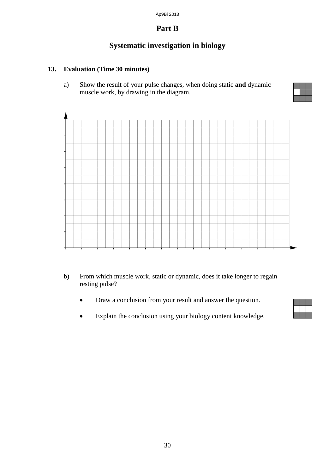# **Systematic investigation in biology**

### **13. Evaluation (Time 30 minutes)**

a) Show the result of your pulse changes, when doing static **and** dynamic muscle work, by drawing in the diagram.



- b) From which muscle work, static or dynamic, does it take longer to regain resting pulse?
	- Draw a conclusion from your result and answer the question.
	- Explain the conclusion using your biology content knowledge.